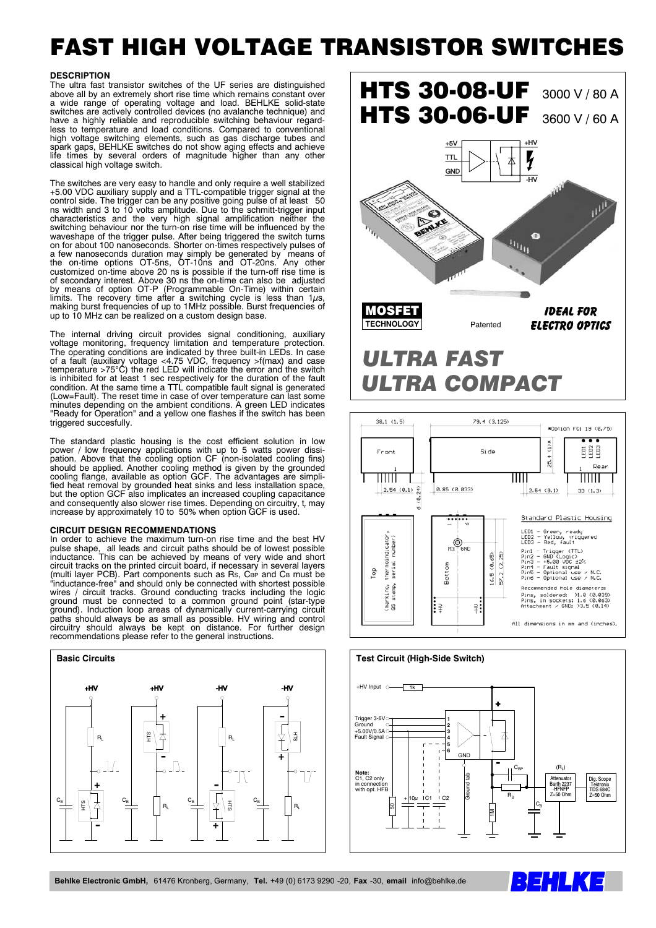# **FAST HIGH VOLTAGE TRANSISTOR SWITCHES**

### **DESCRIPTION**

The ultra fast transistor switches of the UF series are distinguished The unit also transistor switches of the UrSeless are distinguished<br>above all by an extremely short rise time which remains constant over<br>a wide range of operating voltage and load. BEHLKE solid-state<br>switches are actively high voltage switching elements, such as gas discharge tubes and spark gaps, BEHLKE switches do not show aging effects and achieve life times by several orders of magnitude higher than any other classical high voltage switch.

The switches are very easy to handle and only require a well stabilized +5.00 VDC auxiliary supply and a TTL-compatible trigger signal at the control side. The trigger can be any positive going pulse of at least 50 ns width and 3 to 10 volts amplitude. Due to the schmitt-trigger input characteristics and the very high signal amplification neither the<br>switching behaviour nor the turn-on rise time will be influenced by the switch turns being trigger pulse. After being triggered the switch turns<br>on for about 100 nanoseconds. Shorter on-times respectively pulses of Since the manufacturity pursuant of the generated by means of<br>the on-time options OT-5ns, OT-10ns and OT-20ns. Any other<br>customized on-time above 20 ns is possible if the turn-off rise time is discondary interest. Above 30 ns the on-time can also be adjusted<br>by means of option OT-P (Programmable On-Time) within certain<br>limits. The recovery time after a switching cycle is less than 1µs,<br>making burst frequencies o up to 10 MHz can be realized on a custom design base.

The internal driving circuit provides signal conditioning, auxiliary The internal divinity circuit provides Signal conductions, the operating conditions are indicated by three built-in LEDs. In case<br>The operating conditions are indicated by three built-in LEDs. In case<br>of a fault (auxiliary is inhibited for at least 1 sec respectively for the duration of the fault<br>condition. At the same time a TTL compatible fault signal is generated (Low=Fault). The reset time in case of over temperature can last some minutes depending on the ambient conditions. A green LED indicates<br>"Ready for Operation" and a yellow one flashes if the switch has been triggered succesfully.

The standard plastic housing is the cost efficient solution in low<br>power / low frequency applications with up to 5 watts power dissi-<br>pation. Above that the cooling option CF (non-isolated cooling fins)<br>should be applied. but the option GCF also implicates an increased coupling capacitance and consequently also slower rise times. Depending on circuitry, t, may increase by approximately 10 to 50% when option GCF is used.

## **CIRCUIT DESIGN RECOMMENDATIONS**

In order to achieve the maximum turn-on rise time and the best HV<br>pulse shape, all leads and circuit paths should be of lowest possible inductance. This can be achieved by means of very wide and short circuit fracks on the printed circuit board, if necessary in several layers<br>(multi layer PCB). Part components such as Rs, CBP and CB must be<br>"inductance-free" and should only be connected with shortest possible minute and sinute of the logic<br>ground must be connected to a common ground point (star-type<br>ground). Induction loop areas of dynamically current-carrying circuit<br>paths should always be as small as possible. HV wiring and c recommendations please refer to the general instructions.





#### 38.1 (1.5) 29.4 (3.125) \*Option FC: 19 (0.75)  $*(1)$ ដូដូដូ Front Side  $\ddot{5}$ Rear  $\overline{\rm mm}$ TITTITT ШП I  $0.85(0.033)$  $2.54(0.1)$  $2.54(0.1)$  $33(1,3)$ d. Standard Plastic Housing  $\ddot{\circ}$ LED1 - Green, ready<br>LED2 - Yellow, triggered<br>LED3 - Red, fault ndicator,<br>number> **O<sub>GND</sub>** LEDS - Red, fault<br>Pin2 - GND (Logic)<br>Pin2 - GND (Logic)<br>Pin3 - +5.00 UDC ±2%<br>Pin4 - Fault signal<br>Pin5 - Optional use / N.C.<br>Pin5 - Optional use / N.C.  $(0.65)$  $16.5 (0.65)$ <br> $57.2 (2.25)$ ទី ក tom **P** ther<br>seri Bot: ting,<br>tamp, Recommended hole diameters: Necommentation of the State Pins, soldered: 31.0 (0.039)<br>Pins, in sockets: 1.6 (0.039)<br>Attachment / GND: 33.5 (0.14) ea<br>C ፧፼ ≩: All dimensions in mm and (inches).

# **Test Circuit (High-Side Switch)** +HV Input 0- $\overline{+1k}$ Trigger 3-6Vo<br>Ground 0 Uund<br>+5.00V/0.5A<br>Fault Signal C **GND**  $(R<sub>1</sub>)$ Note:<br>C1. C2 only Dig. Scope<br>Tektronix<br>TDS 684C<br>Z=50 Ohm Attenuato Barth 2237<br>HFNFP<br>7-50 Ohm in connection<br>with opt. HFB  $+10\mu$  IC1 I C2  $\overline{\phantom{a}}$